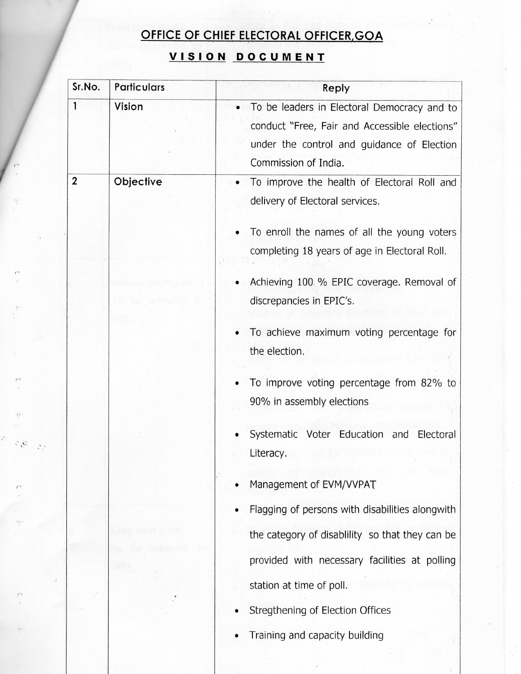## OFFICE OF CHIEF ELECTORAL OFFICER, GOA

## VISION DOCUMENT

| Sr.No.       | <b>Particulars</b> | Reply                                           |  |  |
|--------------|--------------------|-------------------------------------------------|--|--|
| $\mathbf{1}$ | Vision             | To be leaders in Electoral Democracy and to     |  |  |
|              |                    | conduct "Free, Fair and Accessible elections"   |  |  |
|              |                    | under the control and guidance of Election      |  |  |
|              |                    | Commission of India.                            |  |  |
| 2            | Objective          | To improve the health of Electoral Roll and     |  |  |
|              |                    | delivery of Electoral services.                 |  |  |
|              |                    | To enroll the names of all the young voters     |  |  |
|              |                    | completing 18 years of age in Electoral Roll.   |  |  |
|              |                    | Achieving 100 % EPIC coverage. Removal of       |  |  |
|              |                    | discrepancies in EPIC's.                        |  |  |
|              |                    |                                                 |  |  |
|              |                    | To achieve maximum voting percentage for        |  |  |
|              |                    | the election.                                   |  |  |
|              |                    | To improve voting percentage from 82% to        |  |  |
|              |                    | 90% in assembly elections                       |  |  |
|              |                    | Systematic Voter Education and<br>Electoral     |  |  |
|              |                    | Literacy.                                       |  |  |
|              |                    | Management of EVM/VVPAT                         |  |  |
|              |                    | Flagging of persons with disabilities alongwith |  |  |
|              |                    | the category of disablility so that they can be |  |  |
|              |                    | provided with necessary facilities at polling   |  |  |
|              |                    | station at time of poll.                        |  |  |
|              |                    | Stregthening of Election Offices                |  |  |
|              |                    | Training and capacity building                  |  |  |

j.

 $\mathcal{Z}(\mathcal{C})$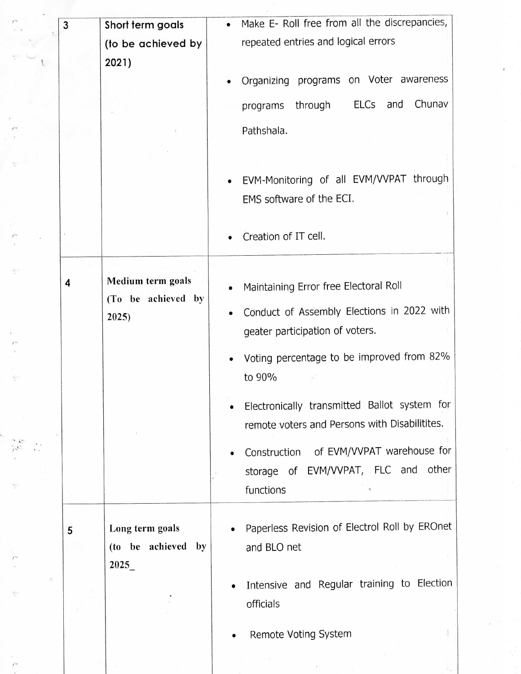| 3 | Short term goals                      | $\bullet$ | Make E- Roll free from all the discrepancies,                       |
|---|---------------------------------------|-----------|---------------------------------------------------------------------|
|   | (to be achieved by                    |           | repeated entries and logical errors                                 |
|   | 2021)                                 |           |                                                                     |
|   |                                       |           | Organizing programs on Voter awareness                              |
|   |                                       |           | ELCs and Chunav<br>through<br>programs                              |
|   |                                       |           | Pathshala.                                                          |
|   |                                       |           |                                                                     |
|   |                                       | $\bullet$ | EVM-Monitoring of all EVM/VVPAT through<br>EMS software of the ECI. |
|   |                                       |           |                                                                     |
|   |                                       |           | Creation of IT cell.                                                |
|   |                                       |           |                                                                     |
| 4 | Medium term goals                     |           | Maintaining Error free Electoral Roll                               |
|   | (To be achieved by<br>2025)           |           | Conduct of Assembly Elections in 2022 with                          |
|   |                                       |           | geater participation of voters.                                     |
|   |                                       |           | Voting percentage to be improved from 82%<br>to 90%                 |
|   |                                       |           | Electronically transmitted Ballot system for                        |
|   |                                       |           | remote voters and Persons with Disabilitites.                       |
|   |                                       |           | Construction of EVM/VVPAT warehouse for                             |
|   |                                       |           | storage of EVM/VVPAT, FLC and other                                 |
|   |                                       |           | functions                                                           |
|   |                                       |           |                                                                     |
| 5 | Long term goals<br>(to be achieved by |           | Paperless Revision of Electrol Roll by EROnet<br>and BLO net        |
|   | 2025                                  |           |                                                                     |
|   |                                       |           | Intensive and Regular training to Election                          |
|   |                                       |           | officials                                                           |
|   |                                       |           | Remote Voting System                                                |
|   |                                       |           |                                                                     |

 $\label{eq:2} \mathcal{L}_{\text{max}} = \mathcal{L}_{\text{max}} + \mathcal{L}_{\text{max}} + \mathcal{L}_{\text{max}}$ 

 $\mathbb{F}_q$  .

 $\frac{I^{2g}}{\varepsilon}$ 

 $\begin{array}{c} \frac{1}{\sqrt{2}} \\ \frac{1}{\sqrt{2}} \\ \frac{1}{\sqrt{2}} \end{array}$ 

 $\hat{f}^{\dagger}_{\vec{k}}$ 

 $\begin{array}{c} t^{-1} \\ t^{3d} \\ t^{-1} \\ t^{-1} \end{array}$ 

 $\begin{array}{c} \displaystyle \bigwedge_{i=1}^{\infty} \mathbb{R}^n \\ \displaystyle \bigwedge_{i=1}^{\infty} \mathbb{R}^n \end{array}$ 

 $\begin{bmatrix} 1 & 0 & 0 \\ 0 & 0 & 0 \\ 0 & 0 & 0 \\ 0 & 0 & 0 \\ 0 & 0 & 0 \\ 0 & 0 & 0 \\ 0 & 0 & 0 & 0 \\ 0 & 0 & 0 & 0 \\ 0 & 0 & 0 & 0 \\ 0 & 0 & 0 & 0 & 0 \\ 0 & 0 & 0 & 0 & 0 \\ 0 & 0 & 0 & 0 & 0 \\ 0 & 0 & 0 & 0 & 0 & 0 \\ 0 & 0 & 0 & 0 & 0 & 0 \\ 0 & 0 & 0 & 0 & 0 & 0 \\ 0 & 0 & 0 & 0 & 0 & 0 \\ 0 & 0 &$ 

 $\hat{\mathcal{V}}$ 

 $\overline{I}$